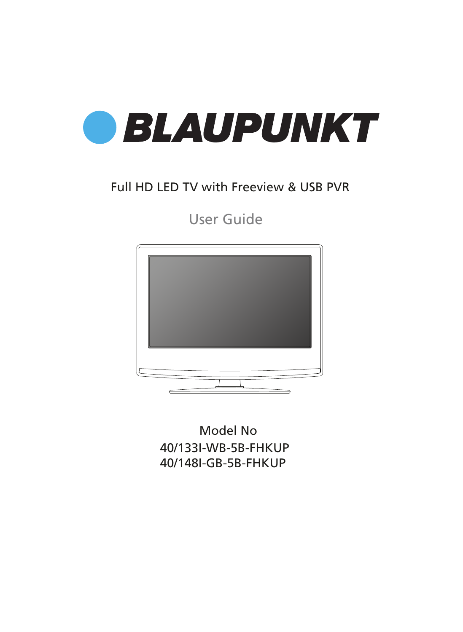

### Full HD LED TV with Freeview & USB PVR

User Guide



40/133I-WB-5B-FHKUP 40/148I-GB-5B-FHKUP Model No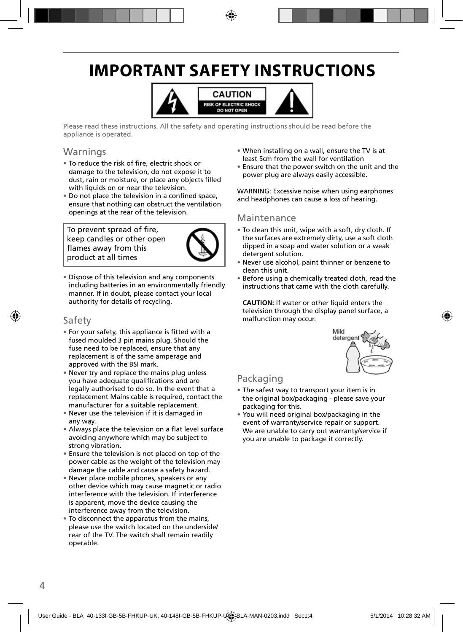### **IMPORTANT SAFETY INSTRUCTIONS**



Please read these instructions. All the safety and operating instructions should be read before the appliance is operated.

#### Warnings

- To reduce the risk of fire, electric shock or damage to the television, do not expose it to dust, rain or moisture, or place any objects filled with liquids on or near the television.
- Do not place the television in a confined space, ensure that nothing can obstruct the ventilation openings at the rear of the television.

To prevent spread of fire, keep candles or other open flames away from this product at all times



• Dispose of this television and any components including batteries in an environmentally friendly manner. If in doubt, please contact your local authority for details of recycling.

#### Safety

- For your safety, this appliance is fitted with a fused moulded 3 pin mains plug. Should the fuse need to be replaced, ensure that any replacement is of the same amperage and approved with the BSI mark.
- Never try and replace the mains plug unless you have adequate qualifications and are legally authorised to do so. In the event that a replacement Mains cable is required, contact the manufacturer for a suitable replacement.
- Never use the television if it is damaged in any way.
- Always place the television on a flat level surface avoiding anywhere which may be subject to strong vibration.
- Ensure the television is not placed on top of the power cable as the weight of the television may damage the cable and cause a safety hazard.
- Never place mobile phones, speakers or any other device which may cause magnetic or radio interference with the television. If interference is apparent, move the device causing the interference away from the television.
- To disconnect the apparatus from the mains, please use the switch located on the underside/ rear of the TV. The switch shall remain readily operable.
- When installing on a wall, ensure the TV is at least 5cm from the wall for ventilation
- Ensure that the power switch on the unit and the power plug are always easily accessible.

WARNING: Excessive noise when using earphones and headphones can cause a loss of hearing.

#### Maintenance

- To clean this unit, wipe with a soft, dry cloth. If the surfaces are extremely dirty, use a soft cloth dipped in a soap and water solution or a weak detergent solution.
- Never use alcohol, paint thinner or benzene to clean this unit.
- Before using a chemically treated cloth, read the instructions that came with the cloth carefully.

**CAUTION:** If water or other liquid enters the television through the display panel surface, a malfunction may occur.



#### Packaging

- The safest way to transport your item is in the original box/packaging - please save your packaging for this.
- You will need original box/packaging in the event of warranty/service repair or support. We are unable to carry out warranty/service if you are unable to package it correctly.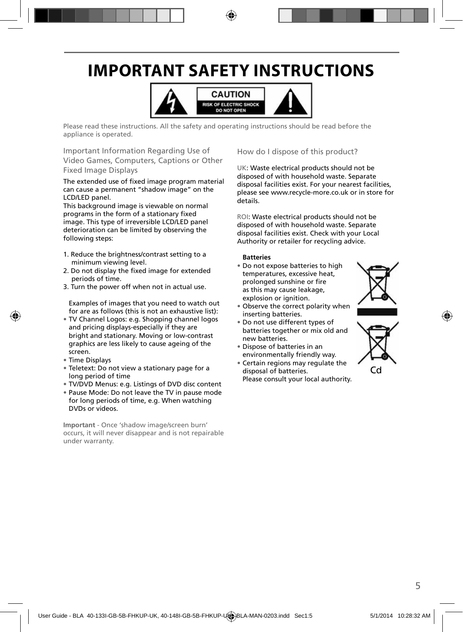### **IMPORTANT SAFETY INSTRUCTIONS**



Please read these instructions. All the safety and operating instructions should be read before the appliance is operated.

Important Information Regarding Use of Video Games, Computers, Captions or Other Fixed Image Displays

The extended use of fixed image program material can cause a permanent "shadow image" on the LCD/LED panel.

This background image is viewable on normal programs in the form of a stationary fixed image. This type of irreversible LCD/LED panel deterioration can be limited by observing the following steps:

- 1. Reduce the brightness/contrast setting to a minimum viewing level.
- 2. Do not display the fixed image for extended periods of time.
- 3. Turn the power off when not in actual use.

Examples of images that you need to watch out for are as follows (this is not an exhaustive list):

- TV Channel Logos: e.g. Shopping channel logos and pricing displays-especially if they are bright and stationary. Moving or low-contrast graphics are less likely to cause ageing of the screen.
- Time Displays
- Teletext: Do not view a stationary page for a long period of time
- TV/DVD Menus: e.g. Listings of DVD disc content
- Pause Mode: Do not leave the TV in pause mode for long periods of time, e.g. When watching DVDs or videos.

**Important** - Once 'shadow image/screen burn' occurs, it will never disappear and is not repairable under warranty.

How do I dispose of this product?

UK: Waste electrical products should not be disposed of with household waste. Separate disposal facilities exist. For your nearest facilities, please see www.recycle-more.co.uk or in store for details.

ROI: Waste electrical products should not be disposed of with household waste. Separate disposal facilities exist. Check with your Local Authority or retailer for recycling advice.

#### **Batteries**

• Do not expose batteries to high temperatures, excessive heat, prolonged sunshine or fire as this may cause leakage, explosion or ignition.



- Do not use different types of batteries together or mix old and new batteries.
- Dispose of batteries in an environmentally friendly way.
- Certain regions may regulate the disposal of batteries. Please consult your local authority.



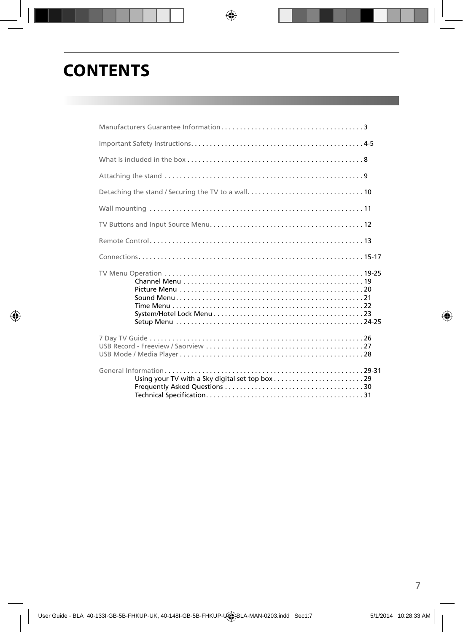### **CONTENTS**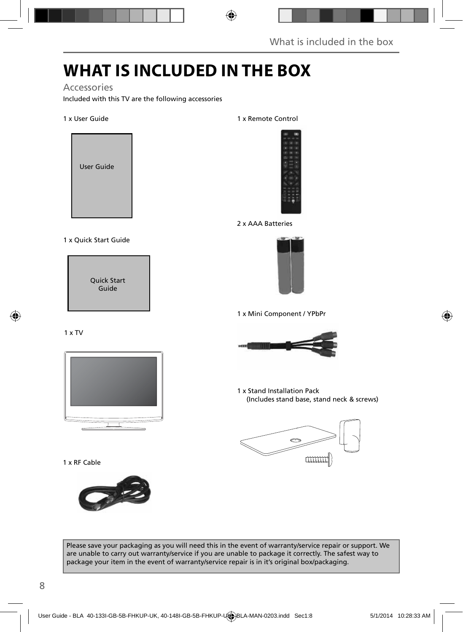### **WHAT IS INCLUDED IN THE BOX**

#### Accessories

Included with this TV are the following accessories

#### 1 x User Guide



#### 1 x Quick Start Guide

Quick Start Guide

#### 1 x TV



1 x RF Cable



1 x Remote Control



2 x AAA Batteries



1 x Mini Component / YPbPr



1 x Stand Installation Pack (Includes stand base, stand neck & screws)



Please save your packaging as you will need this in the event of warranty/service repair or support. We are unable to carry out warranty/service if you are unable to package it correctly. The safest way to package your item in the event of warranty/service repair is in it's original box/packaging.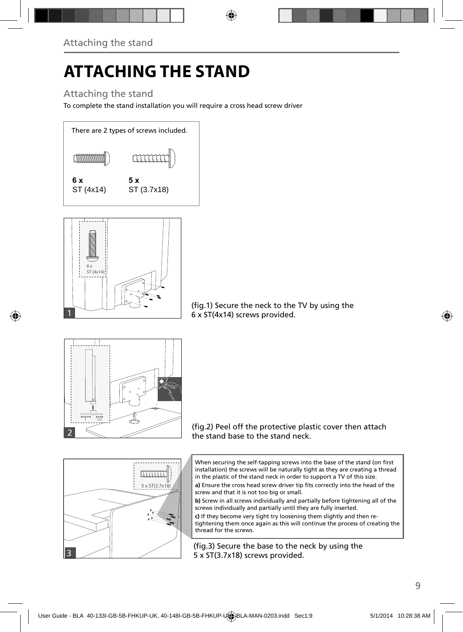# **ATTACHING THE STAND**

### Attaching the stand

To complete the stand installation you will require a cross head screw driver





(fig.1) Secure the neck to the TV by using the 6 x ST(4x14) screws provided.



(fig.2) Peel off the protective plastic cover then attach the stand base to the stand neck.

When securing the self-tapping screws into the base of the stand (on first installation) the screws will be naturally tight as they are creating a thread in the plastic of the stand neck in order to support a TV of this size.

a) Ensure the cross head screw driver tip fits correctly into the head of the screw and that it is not too big or small.

**b)** Screw in all screws individually and partially before tightening all of the screws individually and partially until they are fully inserted.

**c)** If they become very tight try loosening them slightly and then retightening them once again as this will continue the process of creating the thread for the screws.

(fig.3) Secure the base to the neck by using the 5 x ST(3.7x18) screws provided.

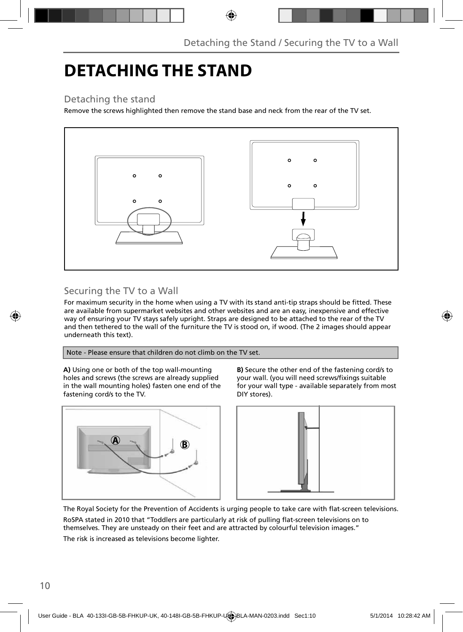### **DETACHING THE STAND**

#### Detaching the stand

Remove the screws highlighted then remove the stand base and neck from the rear of the TV set.



### Securing the TV to a Wall

For maximum security in the home when using a TV with its stand anti-tip straps should be fitted. These are available from supermarket websites and other websites and are an easy, inexpensive and effective way of ensuring your TV stays safely upright. Straps are designed to be attached to the rear of the TV and then tethered to the wall of the furniture the TV is stood on, if wood. (The 2 images should appear underneath this text).

Note - Please ensure that children do not climb on the TV set.

**A)** Using one or both of the top wall-mounting holes and screws (the screws are already supplied in the wall mounting holes) fasten one end of the fastening cord/s to the TV.



**B)** Secure the other end of the fastening cord/s to your wall. (you will need screws/fixings suitable for your wall type - available separately from most DIY stores).



The Royal Society for the Prevention of Accidents is urging people to take care with flat-screen televisions.

RoSPA stated in 2010 that "Toddlers are particularly at risk of pulling flat-screen televisions on to themselves. They are unsteady on their feet and are attracted by colourful television images."

The risk is increased as televisions become lighter.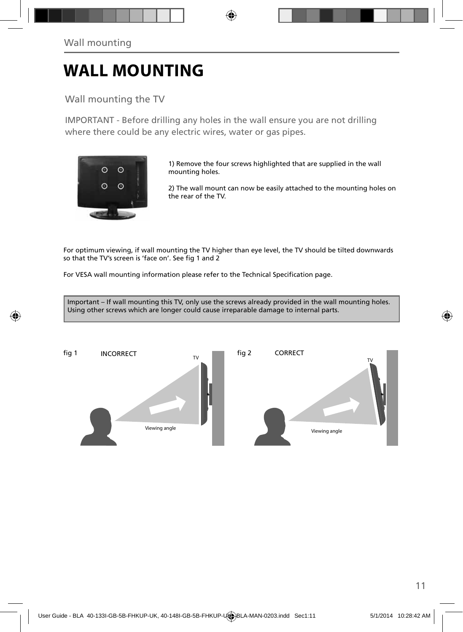### **WALL MOUNTING**

Wall mounting the TV

IMPORTANT - Before drilling any holes in the wall ensure you are not drilling where there could be any electric wires, water or gas pipes.



1) Remove the four screws highlighted that are supplied in the wall mounting holes.

2) The wall mount can now be easily attached to the mounting holes on the rear of the TV.

For optimum viewing, if wall mounting the TV higher than eye level, the TV should be tilted downwards so that the TV's screen is 'face on'. See fig 1 and 2

For VESA wall mounting information please refer to the Technical Specification page.

Important – If wall mounting this TV, only use the screws already provided in the wall mounting holes. Using other screws which are longer could cause irreparable damage to internal parts.

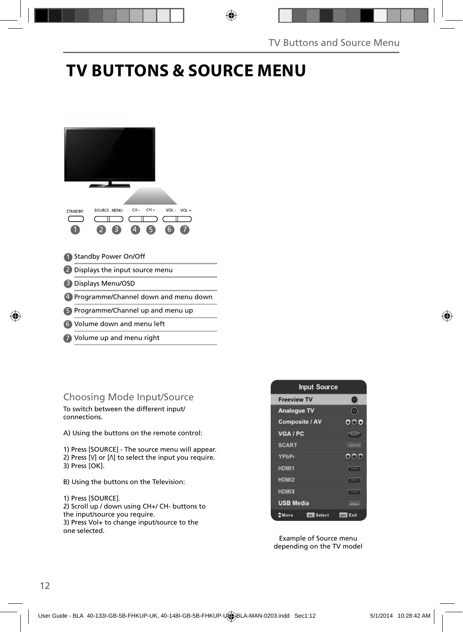### **TV BUTTONS & SOURCE MENU**



Volume up and menu right 7

#### Choosing Mode Input/Source

To switch between the different input/ connections.

A) Using the buttons on the remote control:

1) Press [SOURCE] - The source menu will appear. 2) Press  $[V]$  or  $[\Lambda]$  to select the input you require. 3) Press [OK].

B) Using the buttons on the Television:

1) Press [SOURCE]. 2) Scroll up / down using CH+/ CH- buttons to the input/source you require. 3) Press Vol+ to change input/source to the one selected.



Example of Source menu depending on the TV model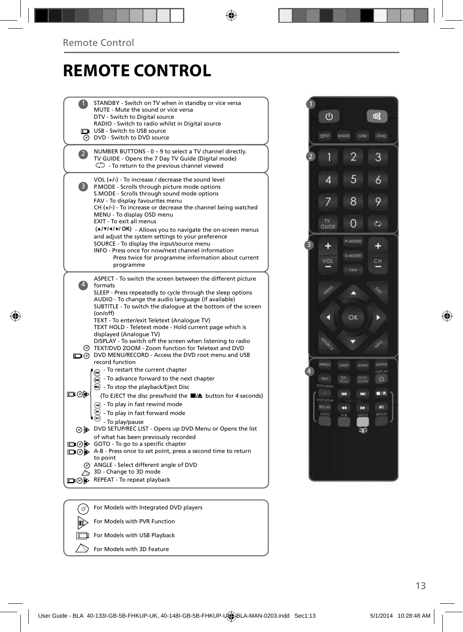### **REMOTE CONTROL**

|      | STANDBY - Switch on TV when in standby or vice versa<br>MUTE - Mute the sound or vice versa<br>DTV - Switch to Digital source<br>RADIO - Switch to radio whilst in Digital source<br>USB - Switch to USB source<br>⊙ DVD - Switch to DVD source                                                                                     |
|------|-------------------------------------------------------------------------------------------------------------------------------------------------------------------------------------------------------------------------------------------------------------------------------------------------------------------------------------|
|      |                                                                                                                                                                                                                                                                                                                                     |
|      | NUMBER BUTTONS - 0 - 9 to select a TV channel directly.<br>TV GUIDE - Opens the 7 Day TV Guide (Digital mode)<br>$\mathbb{C}$ - To return to the previous channel viewed                                                                                                                                                            |
| 3)   | VOL $(+/-)$ - To increase / decrease the sound level<br>P.MODE - Scrolls through picture mode options<br>S.MODE - Scrolls through sound mode options<br>FAV - To display favourites menu<br>CH (+/-) - To increase or decrease the channel being watched<br>MENU - To display OSD menu<br>EXIT - To exit all menus                  |
|      | (A/V/4/M/OK) - Allows you to navigate the on-screen menus<br>and adjust the system settings to your preference<br>SOURCE - To display the input/source menu<br>INFO - Press once for now/next channel information<br>Press twice for programme information about current<br>programme                                               |
|      | ASPECT - To switch the screen between the different picture<br>formats<br>SLEEP - Press repeatedly to cycle through the sleep options<br>AUDIO - To change the audio language (if available)<br>SUBTITLE - To switch the dialoque at the bottom of the screen<br>(on/off)                                                           |
|      | TEXT - To enter/exit Teletext (Analogue TV)<br>TEXT HOLD - Teletext mode - Hold current page which is<br>displayed (Analogue TV)<br>DISPLAY - To switch off the screen when listening to radio<br>TEXT/DVD ZOOM - Zoom function for Teletext and DVD<br>n (ග) DVD MENU/RECORD - Access the DVD root menu and USB<br>record function |
| య⊚⊡  | - To restart the current chapter<br>$\widetilde{\mathbf{m}}$ - To advance forward to the next chapter<br>◯ - To stop the playback/Eject Disc<br>(To EJECT the disc press/hold the ■/▲ button for 4 seconds)<br>+ To play in fast rewind mode<br>- To play in fast forward mode                                                      |
|      | - To play/pause<br>o b DVD SETUP/REC LIST - Opens up DVD Menu or Opens the list                                                                                                                                                                                                                                                     |
|      | of what has been previously recorded                                                                                                                                                                                                                                                                                                |
|      | □ ⊙ > GOTO - To go to a specific chapter<br>A-B - Press once to set point, press a second time to return                                                                                                                                                                                                                            |
|      | to point                                                                                                                                                                                                                                                                                                                            |
|      | @ ANGLE - Select different angle of DVD                                                                                                                                                                                                                                                                                             |
|      | $\sim$ 3D - Change to 3D mode                                                                                                                                                                                                                                                                                                       |
| ⊒⊚⊫⊳ | REPEAT - To repeat playback                                                                                                                                                                                                                                                                                                         |
|      |                                                                                                                                                                                                                                                                                                                                     |
|      |                                                                                                                                                                                                                                                                                                                                     |
| (ഗ   | For Models with Integrated DVD players                                                                                                                                                                                                                                                                                              |



间  $\sqrt{2}$ ╲

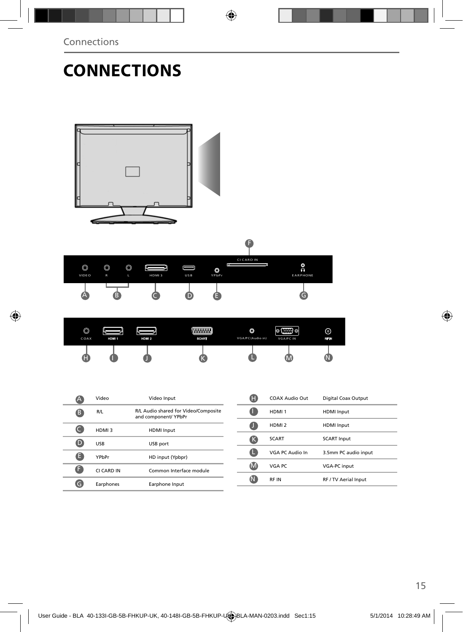### **CONNECTIONS**



| $\circledcirc$<br>COAX | HDM <sub>1</sub> | HDMI <sub>2</sub> | <b>WWWW</b><br><b>SCART</b> | O<br>VGA/PC(Audio in) | $\circ$ (:::) $\circ$<br>VGA/PC IN | ⊚<br>rf In |
|------------------------|------------------|-------------------|-----------------------------|-----------------------|------------------------------------|------------|
| ▬                      |                  |                   |                             |                       | IV                                 |            |

|   | Video      | Video Input                                                  |
|---|------------|--------------------------------------------------------------|
| В | R/L        | R/L Audio shared for Video/Composite<br>and component/ YPbPr |
|   | HDMI3      | <b>HDMI</b> Input                                            |
|   | <b>USB</b> | USB port                                                     |
| а | YPhPr      | HD input (Ypbpr)                                             |
|   | CI CARD IN | Common Interface module                                      |
|   | Earphones  | Earphone Input                                               |

| A | COAX Audio Out    | Digital Coax Output  |
|---|-------------------|----------------------|
|   | HDMI <sub>1</sub> | <b>HDMI</b> Input    |
|   | HDMI <sub>2</sub> | <b>HDMI</b> Input    |
| ĸ | <b>SCART</b>      | <b>SCART Input</b>   |
|   | VGA PC Audio In   | 3.5mm PC audio input |
|   | VGA PC            | <b>VGA-PC input</b>  |
|   | <b>RFIN</b>       | RF / TV Aerial Input |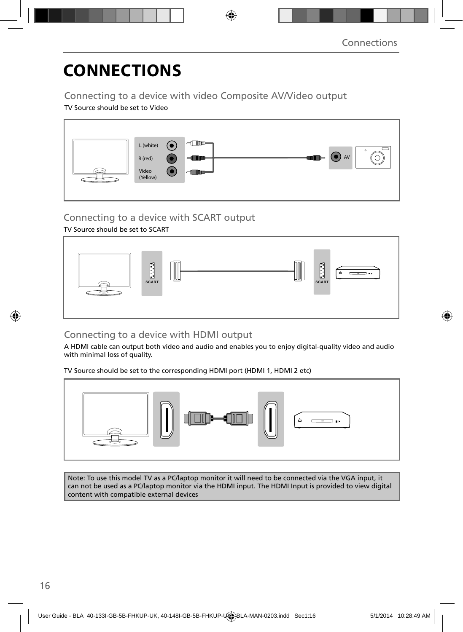## **CONNECTIONS**

#### Connecting to a device with video Composite AV/Video output

TV Source should be set to Video



#### Connecting to a device with SCART output

#### TV Source should be set to SCART



### Connecting to a device with HDMI output

A HDMI cable can output both video and audio and enables you to enjoy digital-quality video and audio with minimal loss of quality.

TV Source should be set to the corresponding HDMI port (HDMI 1, HDMI 2 etc)



Note: To use this model TV as a PC/laptop monitor it will need to be connected via the VGA input, it can not be used as a PC/laptop monitor via the HDMI input. The HDMI Input is provided to view digital content with compatible external devices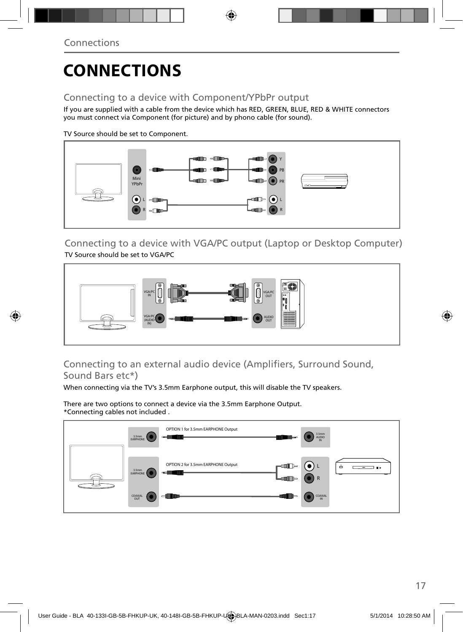## **CONNECTIONS**

### Connecting to a device with Component/YPbPr output

If you are supplied with a cable from the device which has RED, GREEN, BLUE, RED & WHITE connectors you must connect via Component (for picture) and by phono cable (for sound).

TV Source should be set to Component.



Connecting to a device with VGA/PC output (Laptop or Desktop Computer) TV Source should be set to VGA/PC



#### Connecting to an external audio device (Amplifiers, Surround Sound, Sound Bars etc\*)

When connecting via the TV's 3.5mm Earphone output, this will disable the TV speakers.

There are two options to connect a device via the 3.5mm Earphone Output. \*Connecting cables not included .

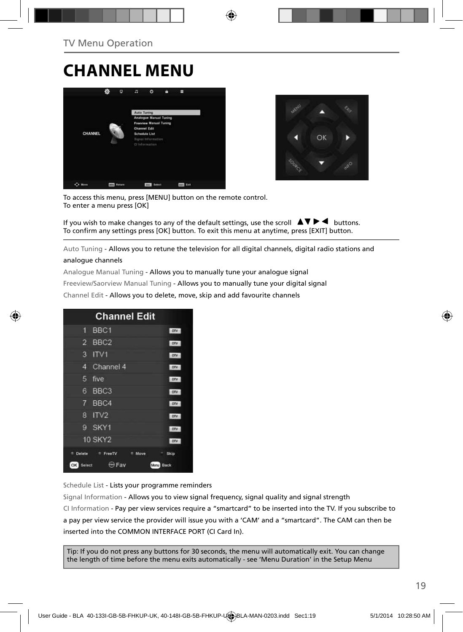### **CHANNEL MENU**





To access this menu, press [MENU] button on the remote control. To enter a menu press [OK]

If you wish to make changes to any of the default settings, use the scroll  $\blacktriangle \blacktriangledown \blacktriangleright \blacktriangleleft$  buttons. To confirm any settings press [OK] button. To exit this menu at anytime, press [EXIT] button.

Auto Tuning - Allows you to retune the television for all digital channels, digital radio stations and

#### analogue channels

Analogue Manual Tuning - Allows you to manually tune your analogue signal

Freeview/Saorview Manual Tuning - Allows you to manually tune your digital signal

Channel Edit - Allows you to delete, move, skip and add favourite channels

| <b>Channel Edit</b>                        |            |
|--------------------------------------------|------------|
| BBC1<br>П                                  | <b>OTV</b> |
| BBC <sub>2</sub><br>2                      | onv        |
| 3<br>ITVI                                  | ony        |
| Channel 4<br>4                             | otv        |
| 5<br>five                                  | ory        |
| BBC <sub>3</sub><br>6                      | OTV        |
| 7<br>BBC4                                  | ony        |
| IV2<br>8                                   | otv        |
| SKY1<br>g                                  | <b>OTV</b> |
| <b>10 SKY2</b>                             | otv        |
| Delete<br><sup>#</sup> FreeTV<br>Move<br>۰ | Skip       |
| <b>OK</b><br>Fav<br>Select<br>Menu         | Back       |

Schedule List - Lists your programme reminders

Signal Information - Allows you to view signal frequency, signal quality and signal strength CI Information - Pay per view services require a "smartcard" to be inserted into the TV. If you subscribe to a pay per view service the provider will issue you with a 'CAM' and a "smartcard". The CAM can then be inserted into the COMMON INTERFACE PORT (CI Card In).

Tip: If you do not press any buttons for 30 seconds, the menu will automatically exit. You can change the length of time before the menu exits automatically - see 'Menu Duration' in the Setup Menu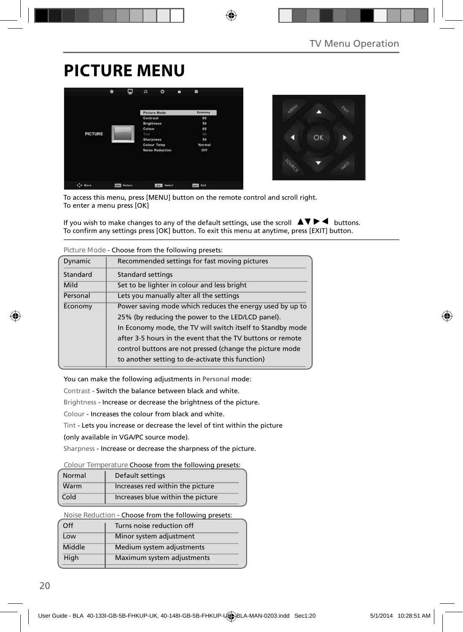### **PICTURE MENU**





To access this menu, press [MENU] button on the remote control and scroll right. To enter a menu press [OK]

If you wish to make changes to any of the default settings, use the scroll  $\Delta \nabla \blacktriangleright$   $\blacktriangleleft$  buttons. To confirm any settings press [OK] button. To exit this menu at anytime, press [EXIT] button.

| 1155557111<br>CHOOSE HOTH LITE TOHOWING PICSCLS. |                                                            |  |  |
|--------------------------------------------------|------------------------------------------------------------|--|--|
| Dynamic                                          | Recommended settings for fast moving pictures              |  |  |
| Standard                                         | Standard settings                                          |  |  |
| Mild                                             | Set to be lighter in colour and less bright                |  |  |
| Personal                                         | Lets you manually alter all the settings                   |  |  |
| Economy                                          | Power saving mode which reduces the energy used by up to   |  |  |
|                                                  | 25% (by reducing the power to the LED/LCD panel).          |  |  |
|                                                  | In Economy mode, the TV will switch itself to Standby mode |  |  |
|                                                  | after 3-5 hours in the event that the TV buttons or remote |  |  |
|                                                  | control buttons are not pressed (change the picture mode   |  |  |
|                                                  | to another setting to de-activate this function)           |  |  |

**Picture Mode** - Choose from the following presets:

You can make the following adjustments in **Personal** mode:

Contrast - Switch the balance between black and white.

Brightness - Increase or decrease the brightness of the picture.

Colour - Increases the colour from black and white.

Tint - Lets you increase or decrease the level of tint within the picture

(only available in VGA/PC source mode).

Sharpness - Increase or decrease the sharpness of the picture.

#### **Colour Temperature** Choose from the following presets:

| Normal | Default settings                  |
|--------|-----------------------------------|
| Warm   | Increases red within the picture  |
| Cold   | Increases blue within the picture |

**Noise Reduction** - Choose from the following presets:

| Off    | Turns noise reduction off  |
|--------|----------------------------|
| Low    | Minor system adjustment    |
| Middle | Medium system adjustments  |
| High   | Maximum system adjustments |
|        |                            |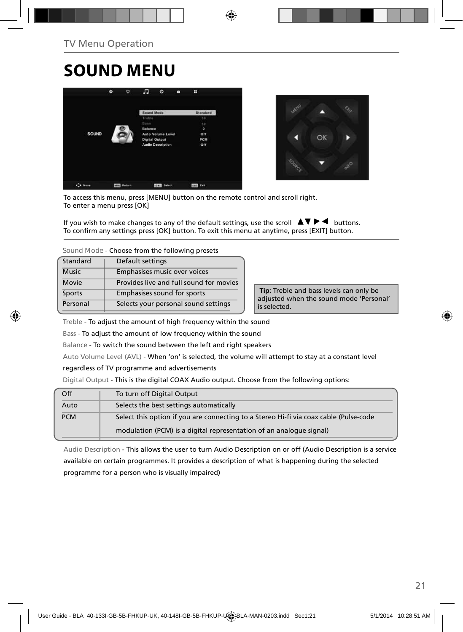### **SOUND MENU**





To access this menu, press [MENU] button on the remote control and scroll right. To enter a menu press [OK]

If you wish to make changes to any of the default settings, use the scroll  $\blacktriangle \blacktriangledown \blacktriangleright \blacktriangleleft$  buttons. To confirm any settings press [OK] button. To exit this menu at anytime, press [EXIT] button.

**Sound Mode** - Choose from the following presets

| Standard     | Default settings                        |
|--------------|-----------------------------------------|
| <b>Music</b> | Emphasises music over voices            |
| <b>Movie</b> | Provides live and full sound for movies |
| Sports       | Emphasises sound for sports             |
| Personal     | Selects your personal sound settings    |

 **Tip:** Treble and bass levels can only be adjusted when the sound mode 'Personal' is selected.

Treble - To adjust the amount of high frequency within the sound

Bass - To adjust the amount of low frequency within the sound

Balance - To switch the sound between the left and right speakers

Auto Volume Level (AVL) - When 'on' is selected, the volume will attempt to stay at a constant level

regardless of TV programme and advertisements

Digital Output - This is the digital COAX Audio output. Choose from the following options:

| Off        | To turn off Digital Output                                                            |
|------------|---------------------------------------------------------------------------------------|
| Auto       | Selects the best settings automatically                                               |
| <b>PCM</b> | Select this option if you are connecting to a Stereo Hi-fi via coax cable (Pulse-code |
|            | modulation (PCM) is a digital representation of an analogue signal)                   |

Audio Description - This allows the user to turn Audio Description on or off (Audio Description is a service available on certain programmes. It provides a description of what is happening during the selected programme for a person who is visually impaired)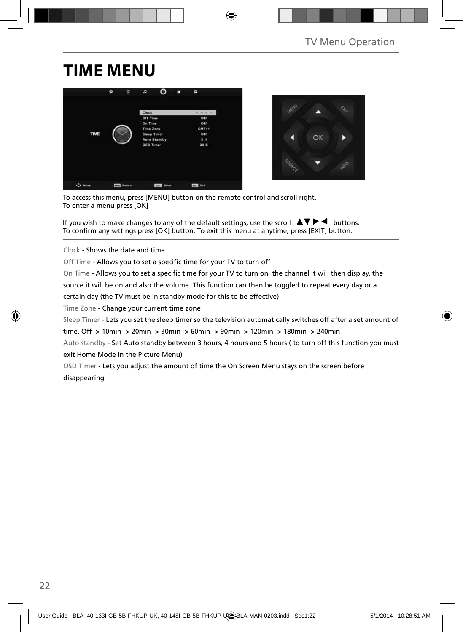### **TIME MENU**





To access this menu, press [MENU] button on the remote control and scroll right. To enter a menu press [OK]

If you wish to make changes to any of the default settings, use the scroll  $\Box \Box \Box \Box$  buttons. To confirm any settings press [OK] button. To exit this menu at anytime, press [EXIT] button.

Clock - Shows the date and time

Off Time - Allows you to set a specific time for your TV to turn off

On Time - Allows you to set a specific time for your TV to turn on, the channel it will then display, the

source it will be on and also the volume. This function can then be toggled to repeat every day or a

certain day (the TV must be in standby mode for this to be effective)

Time Zone - Change your current time zone

Sleep Timer - Lets you set the sleep timer so the television automatically switches off after a set amount of

time. Off -> 10min -> 20min -> 30min -> 60min -> 90min -> 120min -> 180min -> 240min

Auto standby - Set Auto standby between 3 hours, 4 hours and 5 hours (to turn off this function you must exit Home Mode in the Picture Menu)

OSD Timer - Lets you adjust the amount of time the On Screen Menu stays on the screen before disappearing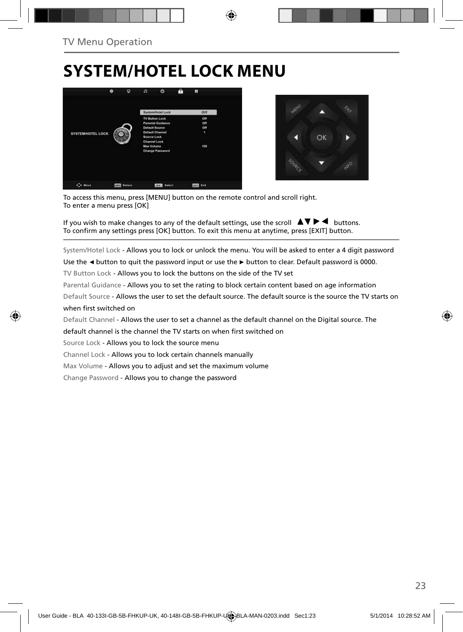### **SYSTEM/HOTEL LOCK MENU**





To access this menu, press [MENU] button on the remote control and scroll right. To enter a menu press [OK]

If you wish to make changes to any of the default settings, use the scroll  $\blacktriangle \blacktriangledown \blacktriangleright \blacktriangleleft$  buttons. To confirm any settings press [OK] button. To exit this menu at anytime, press [EXIT] button.

System/Hotel Lock - Allows you to lock or unlock the menu. You will be asked to enter a 4 digit password

Use the **◄** button to quit the password input or use the **►** button to clear. Default password is 0000.

TV Button Lock - Allows you to lock the buttons on the side of the TV set

Parental Guidance - Allows you to set the rating to block certain content based on age information

Default Source - Allows the user to set the default source. The default source is the source the TV starts on when first switched on

Default Channel - Allows the user to set a channel as the default channel on the Digital source. The

default channel is the channel the TV starts on when first switched on

Source Lock - Allows you to lock the source menu

Channel Lock - Allows you to lock certain channels manually

Max Volume - Allows you to adjust and set the maximum volume

Change Password - Allows you to change the password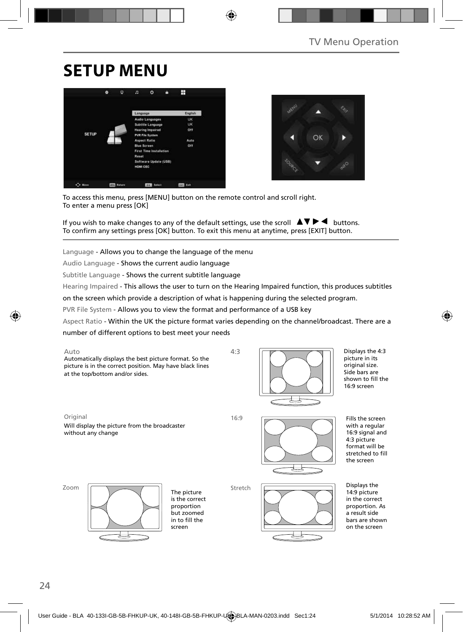### **SETUP MENU**





To access this menu, press [MENU] button on the remote control and scroll right. To enter a menu press [OK]

If you wish to make changes to any of the default settings, use the scroll  $\Box \Box \Box \Box$  buttons. To confirm any settings press [OK] button. To exit this menu at anytime, press [EXIT] button.

Language - Allows you to change the language of the menu

Audio Language - Shows the current audio language

Subtitle Language - Shows the current subtitle language

Hearing Impaired - This allows the user to turn on the Hearing Impaired function, this produces subtitles

on the screen which provide a description of what is happening during the selected program.

PVR File System - Allows you to view the format and performance of a USB key

Aspect Ratio - Within the UK the picture format varies depending on the channel/broadcast. There are a

Stretch

number of different options to best meet your needs





Displays the 4:3 picture in its original size. Side bars are shown to fill the 16:9 screen

Original 16:9

Will display the picture from the broadcaster without any change



Fills the screen with a regular 16:9 signal and 4:3 picture format will be stretched to fill the screen





The picture is the correct proportion but zoomed in to fill the screen



Displays the 14:9 picture in the correct proportion. As a result side bars are shown on the screen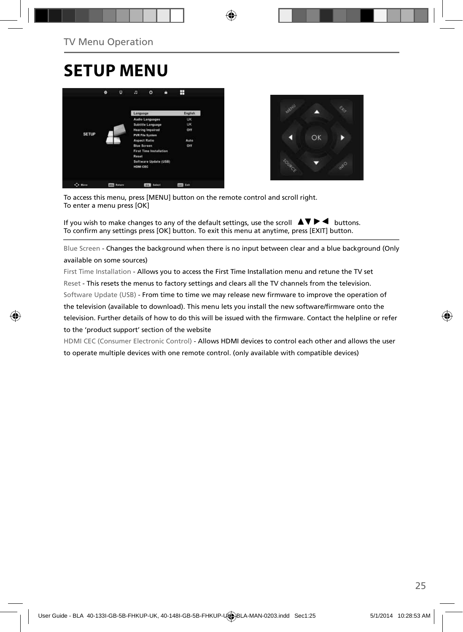### **SETUP MENU**





To access this menu, press [MENU] button on the remote control and scroll right. To enter a menu press [OK]

If you wish to make changes to any of the default settings, use the scroll  $\Box \blacktriangledown \blacktriangleright \blacktriangleleft$  buttons. To confirm any settings press [OK] button. To exit this menu at anytime, press [EXIT] button.

Blue Screen - Changes the background when there is no input between clear and a blue background (Only available on some sources)

First Time Installation - Allows you to access the First Time Installation menu and retune the TV set Reset - This resets the menus to factory settings and clears all the TV channels from the television. Software Update (USB) - From time to time we may release new firmware to improve the operation of the television (available to download). This menu lets you install the new software/firmware onto the television. Further details of how to do this will be issued with the firmware. Contact the helpline or refer to the 'product support' section of the website

HDMI CEC (Consumer Electronic Control) - Allows HDMI devices to control each other and allows the user to operate multiple devices with one remote control. (only available with compatible devices)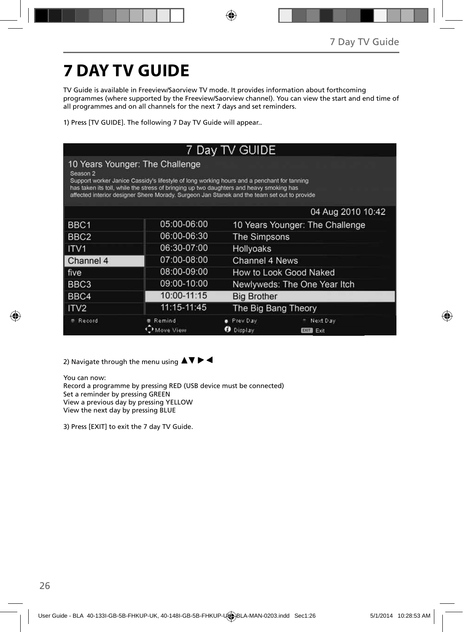## **7 DAY TV GUIDE**

TV Guide is available in Freeview/Saorview TV mode. It provides information about forthcoming programmes (where supported by the Freeview/Saorview channel). You can view the start and end time of all programmes and on all channels for the next 7 days and set reminders.

1) Press [TV GUIDE]. The following 7 Day TV Guide will appear..

| 7 Day TV GUIDE                                                                                                                                                                                                                                                                                                                                 |             |                                                 |  |
|------------------------------------------------------------------------------------------------------------------------------------------------------------------------------------------------------------------------------------------------------------------------------------------------------------------------------------------------|-------------|-------------------------------------------------|--|
| 10 Years Younger: The Challenge<br>Season <sub>2</sub><br>Support worker Janice Cassidy's lifestyle of long working hours and a penchant for tanning<br>has taken its toll, while the stress of bringing up two daughters and heavy smoking has<br>affected interior designer Shere Morady. Surgeon Jan Stanek and the team set out to provide |             |                                                 |  |
|                                                                                                                                                                                                                                                                                                                                                |             | 04 Aug 2010 10:42                               |  |
| BBC1                                                                                                                                                                                                                                                                                                                                           | 05:00-06:00 | 10 Years Younger: The Challenge                 |  |
| BBC <sub>2</sub>                                                                                                                                                                                                                                                                                                                               | 06:00-06:30 | The Simpsons                                    |  |
| ITV <sub>1</sub>                                                                                                                                                                                                                                                                                                                               | 06:30-07:00 | Hollyoaks                                       |  |
| Channel 4                                                                                                                                                                                                                                                                                                                                      | 07:00-08:00 | Channel 4 News                                  |  |
| five                                                                                                                                                                                                                                                                                                                                           | 08:00-09:00 | How to Look Good Naked                          |  |
| BBC3                                                                                                                                                                                                                                                                                                                                           | 09:00-10:00 | Newlyweds: The One Year Itch                    |  |
| BBC4                                                                                                                                                                                                                                                                                                                                           | 10:00-11:15 | <b>Big Brother</b>                              |  |
| ITV <sub>2</sub>                                                                                                                                                                                                                                                                                                                               | 11:15-11:45 | The Big Bang Theory                             |  |
| Record                                                                                                                                                                                                                                                                                                                                         | Remind      | Prev Day<br>Next Day<br>Display<br>Exit<br>EXIT |  |

2) Navigate through the menu using  $\blacktriangle \blacktriangledown \blacktriangleright \blacktriangleleft$ 

You can now: Record a programme by pressing RED (USB device must be connected) Set a reminder by pressing GREEN View a previous day by pressing YELLOW View the next day by pressing BLUE

3) Press [EXIT] to exit the 7 day TV Guide.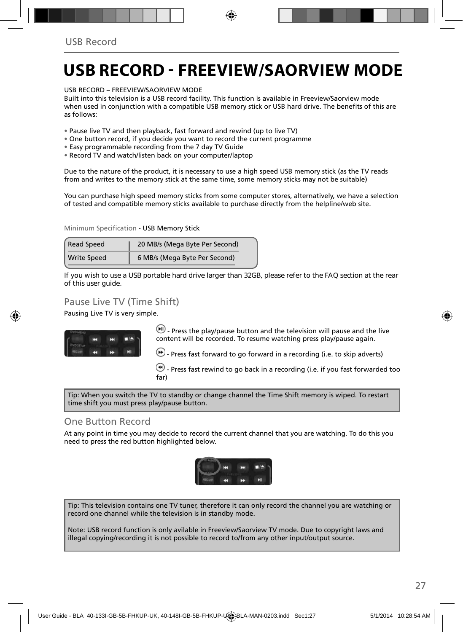### **USB RECORD - FREEVIEW/SAORVIEW MODE**

USB RECORD – FREEVIEW/SAORVIEW MODE

Built into this television is a USB record facility. This function is available in Freeview/Saorview mode when used in conjunction with a compatible USB memory stick or USB hard drive. The benefits of this are as follows:

- Pause live TV and then playback, fast forward and rewind (up to live TV)
- One button record, if you decide you want to record the current programme
- Easy programmable recording from the 7 day TV Guide
- Record TV and watch/listen back on your computer/laptop

Due to the nature of the product, it is necessary to use a high speed USB memory stick (as the TV reads from and writes to the memory stick at the same time, some memory sticks may not be suitable)

You can purchase high speed memory sticks from some computer stores, alternatively, we have a selection of tested and compatible memory sticks available to purchase directly from the helpline/web site.

Minimum Specification - USB Memory Stick

| <b>Read Speed</b>  | 20 MB/s (Mega Byte Per Second) |  |
|--------------------|--------------------------------|--|
| <b>Write Speed</b> | 6 MB/s (Mega Byte Per Second)  |  |

**If you wish to use a USB portable hard drive larger than 32GB, please refer to the FAQ section at the rear of this user guide.**

#### Pause Live TV (Time Shift)

Pausing Live TV is very simple.



 $\left(\mathbf{H}\right)$  - Press the play/pause button and the television will pause and the live content will be recorded. To resume watching press play/pause again.

 $\bigcirc$  - Press fast forward to go forward in a recording (i.e. to skip adverts)

 $\bigcirc$  - Press fast rewind to go back in a recording (i.e. if you fast forwarded too far)

Tip: When you switch the TV to standby or change channel the Time Shift memory is wiped. To restart time shift you must press play/pause button.

#### One Button Record

At any point in time you may decide to record the current channel that you are watching. To do this you need to press the red button highlighted below.



Tip: This television contains one TV tuner, therefore it can only record the channel you are watching or record one channel while the television is in standby mode.

Note: USB record function is only avilable in Freeview/Saorview TV mode. Due to copyright laws and illegal copying/recording it is not possible to record to/from any other input/output source.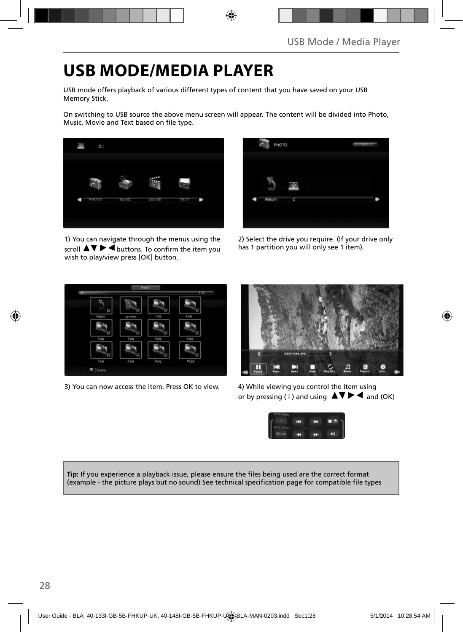### **USB MODE/MEDIA PLAYER**

USB mode offers playback of various different types of content that you have saved on your USB Memory Stick.

On switching to USB source the above menu screen will appear. The content will be divided into Photo, Music, Movie and Text based on file type.



1) You can navigate through the menus using the  $\overline{\mathsf{sr}}$   $\blacktriangleright$   $\overline{\blacktriangleleft}$  buttons. To confirm the item you wish to play/view press [OK] button.



2) Select the drive you require. (If your drive only has 1 partition you will only see 1 item).



3) You can now access the item. Press OK to view. 4) While viewing you control the item using



or by pressing ( i ) and using  $\triangle \blacktriangledown \blacktriangleright \blacktriangleleft$  and (OK)



Tip: If you experience a playback issue, please ensure the files being used are the correct format (example - the picture plays but no sound) See technical specification page for compatible file types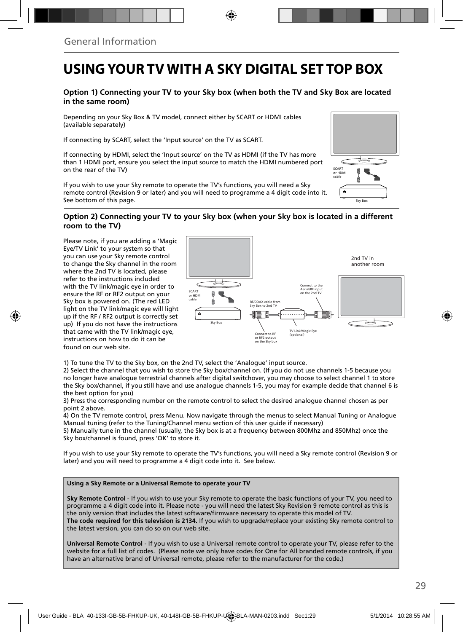### **USING YOUR TV WITH A SKY DIGITAL SET TOP BOX**

#### **Option 1) Connecting your TV to your Sky box (when both the TV and Sky Box are located in the same room)**

Depending on your Sky Box & TV model, connect either by SCART or HDMI cables (available separately)

If connecting by SCART, select the 'Input source' on the TV as SCART.

If connecting by HDMI, select the 'Input source' on the TV as HDMI (if the TV has more than 1 HDMI port, ensure you select the input source to match the HDMI numbered port on the rear of the TV)

If you wish to use your Sky remote to operate the TV's functions, you will need a Sky remote control (Revision 9 or later) and you will need to programme a 4 digit code into it. See bottom of this page.

# Sky Bo SCART or HDMI cable

#### **Option 2) Connecting your TV to your Sky box (when your Sky box is located in a different room to the TV)**

Please note, if you are adding a 'Magic Eye/TV Link' to your system so that you can use your Sky remote control to change the Sky channel in the room where the 2nd TV is located, please refer to the instructions included with the TV link/magic eye in order to ensure the RF or RF2 output on your Sky box is powered on. (The red LED light on the TV link/magic eye will light up if the RF / RF2 output is correctly set up) If you do not have the instructions that came with the TV link/magic eye, instructions on how to do it can be found on our web site.



1) To tune the TV to the Sky box, on the 2nd TV, select the 'Analogue' input source.

2) Select the channel that you wish to store the Sky box/channel on. (If you do not use channels 1-5 because you no longer have analogue terrestrial channels after digital switchover, you may choose to select channel 1 to store the Sky box/channel, if you still have and use analogue channels 1-5, you may for example decide that channel 6 is the best option for you)

3) Press the corresponding number on the remote control to select the desired analogue channel chosen as per point 2 above.

4) On the TV remote control, press Menu. Now navigate through the menus to select Manual Tuning or Analogue Manual tuning (refer to the Tuning/Channel menu section of this user guide if necessary)

5) Manually tune in the channel (usually, the Sky box is at a frequency between 800Mhz and 850Mhz) once the Sky box/channel is found, press 'OK' to store it.

If you wish to use your Sky remote to operate the TV's functions, you will need a Sky remote control (Revision 9 or later) and you will need to programme a 4 digit code into it. See below.

#### **Using a Sky Remote or a Universal Remote to operate your TV**

**Sky Remote Control** - If you wish to use your Sky remote to operate the basic functions of your TV, you need to programme a 4 digit code into it. Please note - you will need the latest Sky Revision 9 remote control as this is the only version that includes the latest software/firmware necessary to operate this model of TV. **The code required for this television is 2134.** If you wish to upgrade/replace your existing Sky remote control to the latest version, you can do so on our web site.

**Universal Remote Control** - If you wish to use a Universal remote control to operate your TV, please refer to the website for a full list of codes. (Please note we only have codes for One for All branded remote controls, if you have an alternative brand of Universal remote, please refer to the manufacturer for the code.)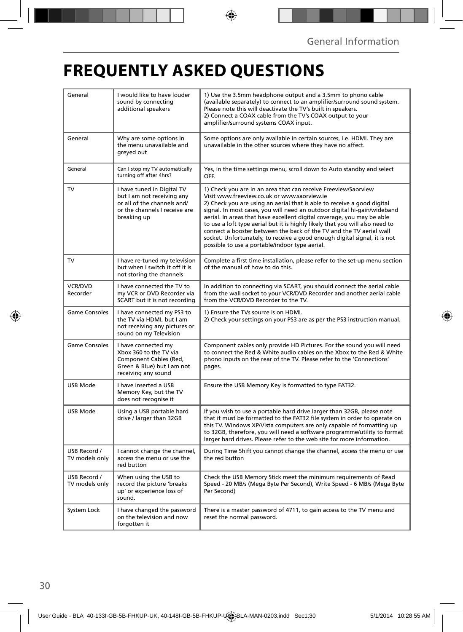### **FREQUENTLY ASKED QUESTIONS**

| General                        | I would like to have louder<br>sound by connecting<br>additional speakers                                                               | 1) Use the 3.5mm headphone output and a 3.5mm to phono cable<br>(available separately) to connect to an amplifier/surround sound system.<br>Please note this will deactivate the TV's built in speakers.<br>2) Connect a COAX cable from the TV's COAX output to your<br>amplifier/surround systems COAX input.                                                                                                                                                                                                                                                                                                                      |  |
|--------------------------------|-----------------------------------------------------------------------------------------------------------------------------------------|--------------------------------------------------------------------------------------------------------------------------------------------------------------------------------------------------------------------------------------------------------------------------------------------------------------------------------------------------------------------------------------------------------------------------------------------------------------------------------------------------------------------------------------------------------------------------------------------------------------------------------------|--|
| General                        | Why are some options in<br>the menu unavailable and<br>greyed out                                                                       | Some options are only available in certain sources, i.e. HDMI. They are<br>unavailable in the other sources where they have no affect.                                                                                                                                                                                                                                                                                                                                                                                                                                                                                               |  |
| General                        | Can I stop my TV automatically<br>turning off after 4hrs?                                                                               | Yes, in the time settings menu, scroll down to Auto standby and select<br>OFF.                                                                                                                                                                                                                                                                                                                                                                                                                                                                                                                                                       |  |
| TV                             | I have tuned in Digital TV<br>but I am not receiving any<br>or all of the channels and/<br>or the channels I receive are<br>breaking up | 1) Check you are in an area that can receive Freeview/Saorview<br>Visit www.freeview.co.uk or www.saorview.ie<br>2) Check you are using an aerial that is able to receive a good digital<br>signal. In most cases, you will need an outdoor digital hi-gain/wideband<br>aerial. In areas that have excellent digital coverage, you may be able<br>to use a loft type aerial but it is highly likely that you will also need to<br>connect a booster between the back of the TV and the TV aerial wall<br>socket. Unfortunately, to receive a good enough digital signal, it is not<br>possible to use a portable/indoor type aerial. |  |
| TV                             | I have re-tuned my television<br>but when I switch it off it is<br>not storing the channels                                             | Complete a first time installation, please refer to the set-up menu section<br>of the manual of how to do this.                                                                                                                                                                                                                                                                                                                                                                                                                                                                                                                      |  |
| <b>VCR/DVD</b><br>Recorder     | I have connected the TV to<br>my VCR or DVD Recorder via<br>SCART but it is not recording                                               | In addition to connecting via SCART, you should connect the aerial cable<br>from the wall socket to your VCR/DVD Recorder and another aerial cable<br>from the VCR/DVD Recorder to the TV.                                                                                                                                                                                                                                                                                                                                                                                                                                           |  |
| <b>Game Consoles</b>           | I have connected my PS3 to<br>the TV via HDMI, but I am<br>not receiving any pictures or<br>sound on my Television                      | 1) Ensure the TVs source is on HDMI.<br>2) Check your settings on your PS3 are as per the PS3 instruction manual.                                                                                                                                                                                                                                                                                                                                                                                                                                                                                                                    |  |
| Game Consoles                  | I have connected my<br>Xbox 360 to the TV via<br>Component Cables (Red,<br>Green & Blue) but I am not<br>receiving any sound            | Component cables only provide HD Pictures. For the sound you will need<br>to connect the Red & White audio cables on the Xbox to the Red & White<br>phono inputs on the rear of the TV. Please refer to the 'Connections'<br>pages.                                                                                                                                                                                                                                                                                                                                                                                                  |  |
| USB Mode                       | I have inserted a USB<br>Memory Key, but the TV<br>does not recognise it                                                                | Ensure the USB Memory Key is formatted to type FAT32.                                                                                                                                                                                                                                                                                                                                                                                                                                                                                                                                                                                |  |
| USB Mode                       | Using a USB portable hard<br>drive / larger than 32GB                                                                                   | If you wish to use a portable hard drive larger than 32GB, please note<br>that it must be formatted to the FAT32 file system in order to operate on<br>this TV. Windows XP/Vista computers are only capable of formatting up<br>to 32GB, therefore, you will need a software programme/utility to format<br>larger hard drives. Please refer to the web site for more information.                                                                                                                                                                                                                                                   |  |
| USB Record /<br>TV models only | I cannot change the channel,<br>access the menu or use the<br>red button                                                                | During Time Shift you cannot change the channel, access the menu or use<br>the red button                                                                                                                                                                                                                                                                                                                                                                                                                                                                                                                                            |  |
| USB Record /<br>TV models only | When using the USB to<br>record the picture 'breaks<br>up' or experience loss of<br>sound.                                              | Check the USB Memory Stick meet the minimum requirements of Read<br>Speed - 20 MB/s (Mega Byte Per Second), Write Speed - 6 MB/s (Mega Byte<br>Per Second)                                                                                                                                                                                                                                                                                                                                                                                                                                                                           |  |
| System Lock                    | I have changed the password<br>on the television and now<br>forgotten it                                                                | There is a master password of 4711, to gain access to the TV menu and<br>reset the normal password.                                                                                                                                                                                                                                                                                                                                                                                                                                                                                                                                  |  |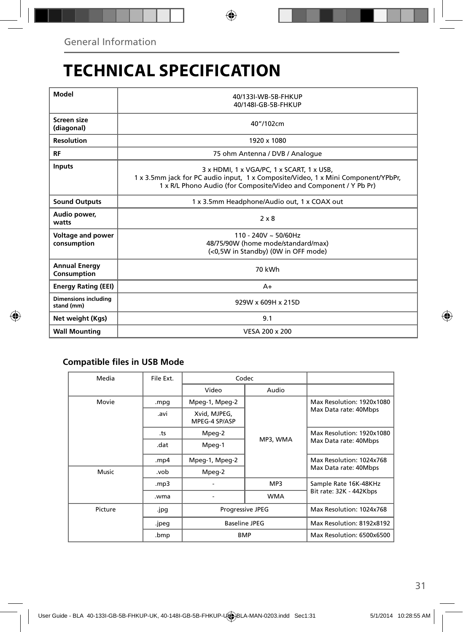### **TECHNICAL SPECIFICATION**

| Model                                     | 40/133I-WB-5B-FHKUP<br>40/148I-GB-5B-FHKUP                                                                                                                                                          |  |  |  |  |
|-------------------------------------------|-----------------------------------------------------------------------------------------------------------------------------------------------------------------------------------------------------|--|--|--|--|
| Screen size<br>(diagonal)                 | 40"/102cm                                                                                                                                                                                           |  |  |  |  |
| <b>Resolution</b>                         | 1920 x 1080                                                                                                                                                                                         |  |  |  |  |
| RF                                        | 75 ohm Antenna / DVB / Analoque                                                                                                                                                                     |  |  |  |  |
| <b>Inputs</b>                             | 3 x HDMI, 1 x VGA/PC, 1 x SCART, 1 x USB,<br>1 x 3.5mm jack for PC audio input, 1 x Composite/Video, 1 x Mini Component/YPbPr,<br>1 x R/L Phono Audio (for Composite/Video and Component / Y Pb Pr) |  |  |  |  |
| <b>Sound Outputs</b>                      | 1 x 3.5mm Headphone/Audio out, 1 x COAX out                                                                                                                                                         |  |  |  |  |
| Audio power,<br>watts                     | $2 \times 8$                                                                                                                                                                                        |  |  |  |  |
| Voltage and power<br>consumption          | $110 - 240V \sim 50/60Hz$<br>48/75/90W (home mode/standard/max)<br>(<0,5W in Standby) (0W in OFF mode)                                                                                              |  |  |  |  |
| <b>Annual Energy</b><br>Consumption       | 70 kWh                                                                                                                                                                                              |  |  |  |  |
| <b>Energy Rating (EEI)</b>                | $A+$                                                                                                                                                                                                |  |  |  |  |
| <b>Dimensions including</b><br>stand (mm) | 929W x 609H x 215D                                                                                                                                                                                  |  |  |  |  |
| Net weight (Kgs)                          | 9.1                                                                                                                                                                                                 |  |  |  |  |
| <b>Wall Mounting</b>                      | VESA 200 x 200                                                                                                                                                                                      |  |  |  |  |

#### **Compatible files in USB Mode**

| Media   | File Ext. | Codec                         |                 |                                                  |
|---------|-----------|-------------------------------|-----------------|--------------------------------------------------|
|         |           | Video                         | Audio           |                                                  |
| Movie   | .mpg      | Mpeg-1, Mpeg-2                |                 | Max Resolution: 1920x1080                        |
|         | .avi      | Xvid, MJPEG,<br>MPEG-4 SP/ASP |                 | Max Data rate: 40Mbps                            |
|         | .ts       | Mpeg-2                        |                 | Max Resolution: 1920x1080                        |
|         | .dat      | Mpeg-1                        | MP3, WMA<br>MP3 | Max Data rate: 40Mbps                            |
|         | .mp4      | Mpeg-1, Mpeg-2                |                 | Max Resolution: 1024x768                         |
| Music   | .vob      | Mpeg-2                        |                 | Max Data rate: 40Mbps                            |
|         | mp3.      |                               |                 | Sample Rate 16K-48KHz<br>Bit rate: 32K - 442Kbps |
|         | .wma      |                               | <b>WMA</b>      |                                                  |
| Picture | .jpg      | <b>Progressive JPEG</b>       |                 | Max Resolution: 1024x768                         |
|         | .jpeg     | <b>Baseline JPEG</b>          |                 | Max Resolution: 8192x8192                        |
|         | .bmp      | <b>BMP</b>                    |                 | Max Resolution: 6500x6500                        |
|         |           |                               |                 |                                                  |